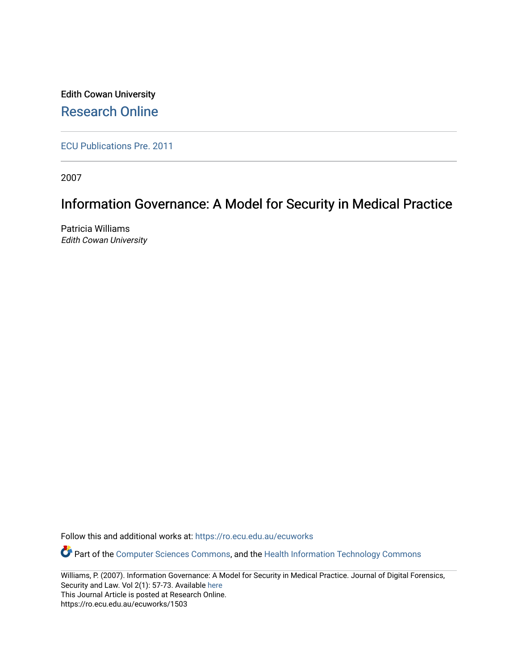Edith Cowan University [Research Online](https://ro.ecu.edu.au/) 

[ECU Publications Pre. 2011](https://ro.ecu.edu.au/ecuworks)

2007

# Information Governance: A Model for Security in Medical Practice

Patricia Williams Edith Cowan University

Follow this and additional works at: [https://ro.ecu.edu.au/ecuworks](https://ro.ecu.edu.au/ecuworks?utm_source=ro.ecu.edu.au%2Fecuworks%2F1503&utm_medium=PDF&utm_campaign=PDFCoverPages) 

Part of the [Computer Sciences Commons](http://network.bepress.com/hgg/discipline/142?utm_source=ro.ecu.edu.au%2Fecuworks%2F1503&utm_medium=PDF&utm_campaign=PDFCoverPages), and the [Health Information Technology Commons](http://network.bepress.com/hgg/discipline/1239?utm_source=ro.ecu.edu.au%2Fecuworks%2F1503&utm_medium=PDF&utm_campaign=PDFCoverPages)

Williams, P. (2007). Information Governance: A Model for Security in Medical Practice. Journal of Digital Forensics, Security and Law. Vol 2(1): 57-73. Available [here](http://ojs.jdfsl.org/index.php/jdfsl/index) This Journal Article is posted at Research Online. https://ro.ecu.edu.au/ecuworks/1503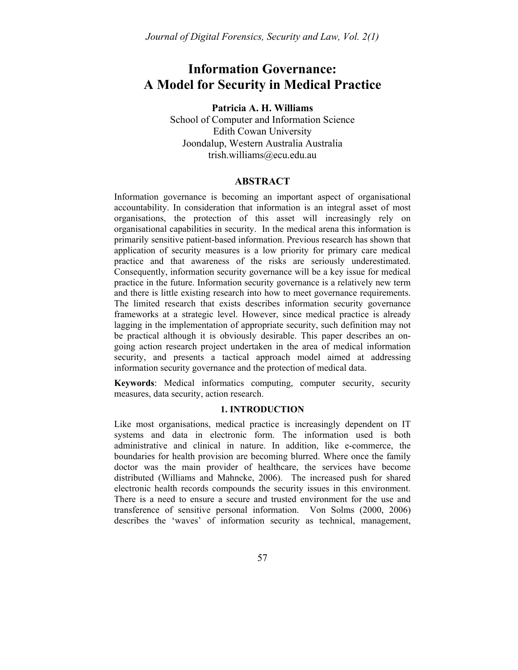## **Information Governance: A Model for Security in Medical Practice**

**Patricia A. H. Williams** 

School of Computer and Information Science Edith Cowan University Joondalup, Western Australia Australia trish.williams@ecu.edu.au

## **ABSTRACT**

Information governance is becoming an important aspect of organisational accountability. In consideration that information is an integral asset of most organisations, the protection of this asset will increasingly rely on organisational capabilities in security. In the medical arena this information is primarily sensitive patient-based information. Previous research has shown that application of security measures is a low priority for primary care medical practice and that awareness of the risks are seriously underestimated. Consequently, information security governance will be a key issue for medical practice in the future. Information security governance is a relatively new term and there is little existing research into how to meet governance requirements. The limited research that exists describes information security governance frameworks at a strategic level. However, since medical practice is already lagging in the implementation of appropriate security, such definition may not be practical although it is obviously desirable. This paper describes an ongoing action research project undertaken in the area of medical information security, and presents a tactical approach model aimed at addressing information security governance and the protection of medical data.

**Keywords**: Medical informatics computing, computer security, security measures, data security, action research.

## **1. INTRODUCTION**

Like most organisations, medical practice is increasingly dependent on IT systems and data in electronic form. The information used is both administrative and clinical in nature. In addition, like e-commerce, the boundaries for health provision are becoming blurred. Where once the family doctor was the main provider of healthcare, the services have become distributed (Williams and Mahncke, 2006). The increased push for shared electronic health records compounds the security issues in this environment. There is a need to ensure a secure and trusted environment for the use and transference of sensitive personal information. Von Solms (2000, 2006) describes the 'waves' of information security as technical, management,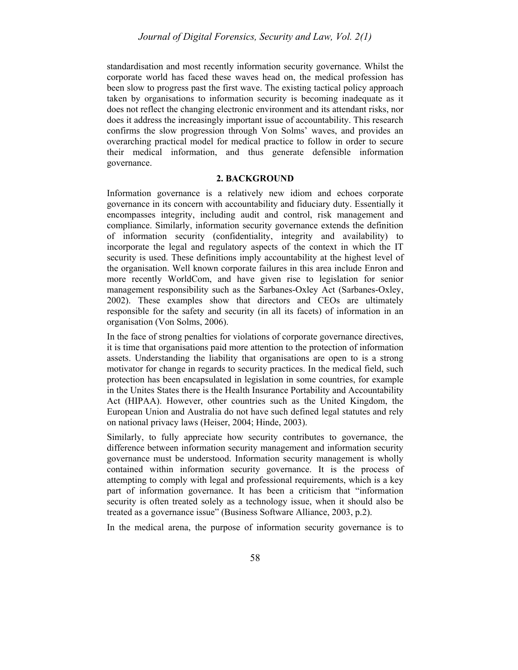standardisation and most recently information security governance. Whilst the corporate world has faced these waves head on, the medical profession has been slow to progress past the first wave. The existing tactical policy approach taken by organisations to information security is becoming inadequate as it does not reflect the changing electronic environment and its attendant risks, nor does it address the increasingly important issue of accountability. This research confirms the slow progression through Von Solms' waves, and provides an overarching practical model for medical practice to follow in order to secure their medical information, and thus generate defensible information governance.

#### **2. BACKGROUND**

Information governance is a relatively new idiom and echoes corporate governance in its concern with accountability and fiduciary duty. Essentially it encompasses integrity, including audit and control, risk management and compliance. Similarly, information security governance extends the definition of information security (confidentiality, integrity and availability) to incorporate the legal and regulatory aspects of the context in which the IT security is used. These definitions imply accountability at the highest level of the organisation. Well known corporate failures in this area include Enron and more recently WorldCom, and have given rise to legislation for senior management responsibility such as the Sarbanes-Oxley Act (Sarbanes-Oxley, 2002). These examples show that directors and CEOs are ultimately responsible for the safety and security (in all its facets) of information in an organisation (Von Solms, 2006).

In the face of strong penalties for violations of corporate governance directives, it is time that organisations paid more attention to the protection of information assets. Understanding the liability that organisations are open to is a strong motivator for change in regards to security practices. In the medical field, such protection has been encapsulated in legislation in some countries, for example in the Unites States there is the Health Insurance Portability and Accountability Act (HIPAA). However, other countries such as the United Kingdom, the European Union and Australia do not have such defined legal statutes and rely on national privacy laws (Heiser, 2004; Hinde, 2003).

Similarly, to fully appreciate how security contributes to governance, the difference between information security management and information security governance must be understood. Information security management is wholly contained within information security governance. It is the process of attempting to comply with legal and professional requirements, which is a key part of information governance. It has been a criticism that "information security is often treated solely as a technology issue, when it should also be treated as a governance issue" (Business Software Alliance, 2003, p.2).

In the medical arena, the purpose of information security governance is to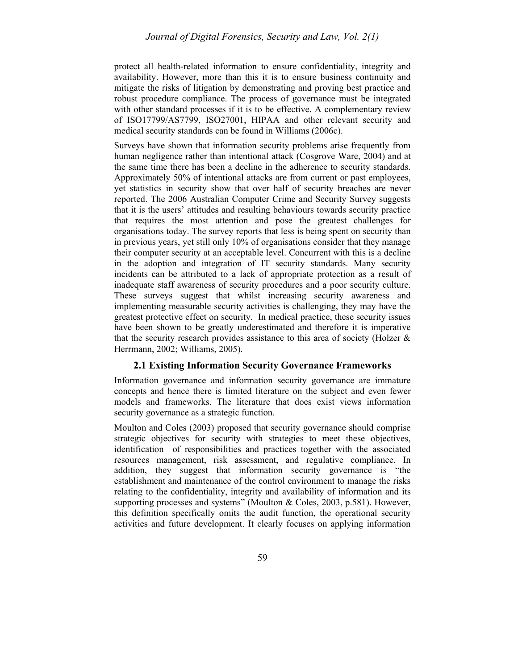protect all health-related information to ensure confidentiality, integrity and availability. However, more than this it is to ensure business continuity and mitigate the risks of litigation by demonstrating and proving best practice and robust procedure compliance. The process of governance must be integrated with other standard processes if it is to be effective. A complementary review of ISO17799/AS7799, ISO27001, HIPAA and other relevant security and medical security standards can be found in Williams (2006c).

Surveys have shown that information security problems arise frequently from human negligence rather than intentional attack (Cosgrove Ware, 2004) and at the same time there has been a decline in the adherence to security standards. Approximately 50% of intentional attacks are from current or past employees, yet statistics in security show that over half of security breaches are never reported. The 2006 Australian Computer Crime and Security Survey suggests that it is the users' attitudes and resulting behaviours towards security practice that requires the most attention and pose the greatest challenges for organisations today. The survey reports that less is being spent on security than in previous years, yet still only 10% of organisations consider that they manage their computer security at an acceptable level. Concurrent with this is a decline in the adoption and integration of IT security standards. Many security incidents can be attributed to a lack of appropriate protection as a result of inadequate staff awareness of security procedures and a poor security culture. These surveys suggest that whilst increasing security awareness and implementing measurable security activities is challenging, they may have the greatest protective effect on security. In medical practice, these security issues have been shown to be greatly underestimated and therefore it is imperative that the security research provides assistance to this area of society (Holzer  $\&$ Herrmann, 2002; Williams, 2005).

## **2.1 Existing Information Security Governance Frameworks**

Information governance and information security governance are immature concepts and hence there is limited literature on the subject and even fewer models and frameworks. The literature that does exist views information security governance as a strategic function.

Moulton and Coles (2003) proposed that security governance should comprise strategic objectives for security with strategies to meet these objectives, identification of responsibilities and practices together with the associated resources management, risk assessment, and regulative compliance. In addition, they suggest that information security governance is "the establishment and maintenance of the control environment to manage the risks relating to the confidentiality, integrity and availability of information and its supporting processes and systems" (Moulton & Coles, 2003, p.581). However, this definition specifically omits the audit function, the operational security activities and future development. It clearly focuses on applying information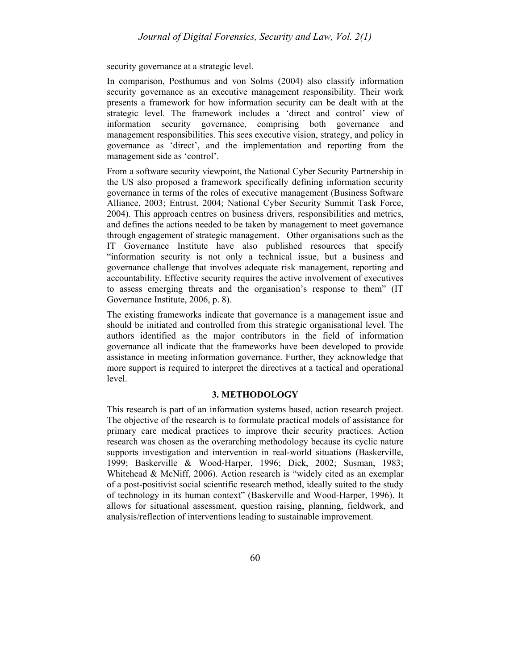security governance at a strategic level.

In comparison, Posthumus and von Solms (2004) also classify information security governance as an executive management responsibility. Their work presents a framework for how information security can be dealt with at the strategic level. The framework includes a 'direct and control' view of information security governance, comprising both governance and management responsibilities. This sees executive vision, strategy, and policy in governance as 'direct', and the implementation and reporting from the management side as 'control'.

From a software security viewpoint, the National Cyber Security Partnership in the US also proposed a framework specifically defining information security governance in terms of the roles of executive management (Business Software Alliance, 2003; Entrust, 2004; National Cyber Security Summit Task Force, 2004). This approach centres on business drivers, responsibilities and metrics, and defines the actions needed to be taken by management to meet governance through engagement of strategic management. Other organisations such as the IT Governance Institute have also published resources that specify "information security is not only a technical issue, but a business and governance challenge that involves adequate risk management, reporting and accountability. Effective security requires the active involvement of executives to assess emerging threats and the organisation's response to them" (IT Governance Institute, 2006, p. 8).

The existing frameworks indicate that governance is a management issue and should be initiated and controlled from this strategic organisational level. The authors identified as the major contributors in the field of information governance all indicate that the frameworks have been developed to provide assistance in meeting information governance. Further, they acknowledge that more support is required to interpret the directives at a tactical and operational level.

#### **3. METHODOLOGY**

This research is part of an information systems based, action research project. The objective of the research is to formulate practical models of assistance for primary care medical practices to improve their security practices. Action research was chosen as the overarching methodology because its cyclic nature supports investigation and intervention in real-world situations (Baskerville, 1999; Baskerville & Wood-Harper, 1996; Dick, 2002; Susman, 1983; Whitehead & McNiff, 2006). Action research is "widely cited as an exemplar of a post-positivist social scientific research method, ideally suited to the study of technology in its human context" (Baskerville and Wood-Harper, 1996). It allows for situational assessment, question raising, planning, fieldwork, and analysis/reflection of interventions leading to sustainable improvement.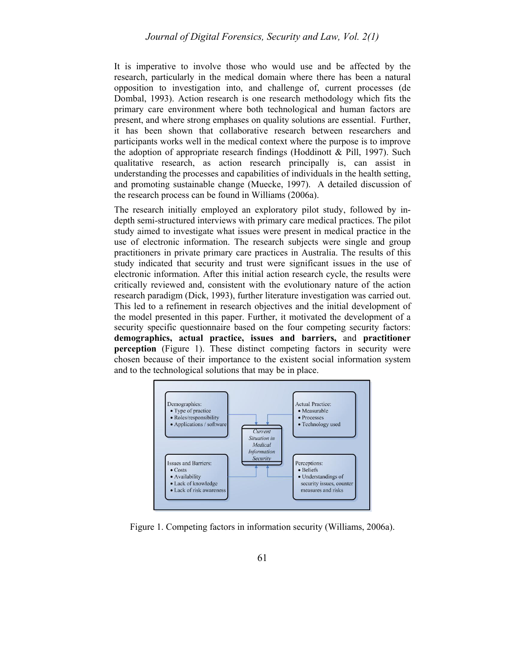It is imperative to involve those who would use and be affected by the research, particularly in the medical domain where there has been a natural opposition to investigation into, and challenge of, current processes (de Dombal, 1993). Action research is one research methodology which fits the primary care environment where both technological and human factors are present, and where strong emphases on quality solutions are essential. Further, it has been shown that collaborative research between researchers and participants works well in the medical context where the purpose is to improve the adoption of appropriate research findings (Hoddinott  $\&$  Pill, 1997). Such qualitative research, as action research principally is, can assist in understanding the processes and capabilities of individuals in the health setting, and promoting sustainable change (Muecke, 1997). A detailed discussion of the research process can be found in Williams (2006a).

The research initially employed an exploratory pilot study, followed by indepth semi-structured interviews with primary care medical practices. The pilot study aimed to investigate what issues were present in medical practice in the use of electronic information. The research subjects were single and group practitioners in private primary care practices in Australia. The results of this study indicated that security and trust were significant issues in the use of electronic information. After this initial action research cycle, the results were critically reviewed and, consistent with the evolutionary nature of the action research paradigm (Dick, 1993), further literature investigation was carried out. This led to a refinement in research objectives and the initial development of the model presented in this paper. Further, it motivated the development of a security specific questionnaire based on the four competing security factors: **demographics, actual practice, issues and barriers,** and **practitioner perception** (Figure 1). These distinct competing factors in security were chosen because of their importance to the existent social information system and to the technological solutions that may be in place.



Figure 1. Competing factors in information security (Williams, 2006a).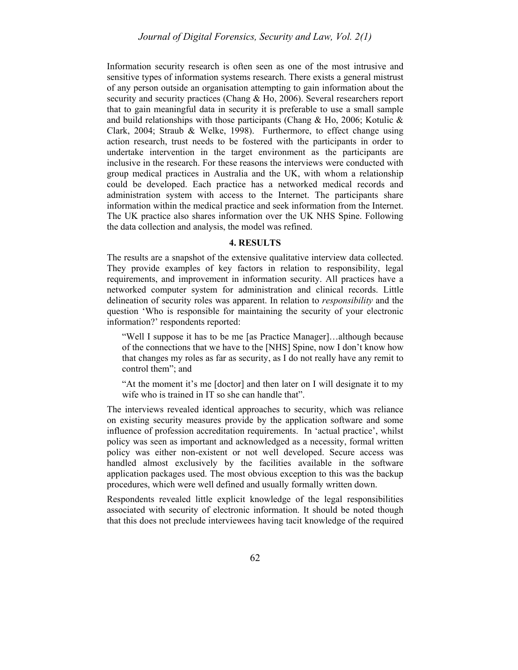Information security research is often seen as one of the most intrusive and sensitive types of information systems research. There exists a general mistrust of any person outside an organisation attempting to gain information about the security and security practices (Chang & Ho, 2006). Several researchers report that to gain meaningful data in security it is preferable to use a small sample and build relationships with those participants (Chang  $\&$  Ho, 2006; Kotulic  $\&$ Clark, 2004; Straub & Welke, 1998). Furthermore, to effect change using action research, trust needs to be fostered with the participants in order to undertake intervention in the target environment as the participants are inclusive in the research. For these reasons the interviews were conducted with group medical practices in Australia and the UK, with whom a relationship could be developed. Each practice has a networked medical records and administration system with access to the Internet. The participants share information within the medical practice and seek information from the Internet. The UK practice also shares information over the UK NHS Spine. Following the data collection and analysis, the model was refined.

#### **4. RESULTS**

The results are a snapshot of the extensive qualitative interview data collected. They provide examples of key factors in relation to responsibility, legal requirements, and improvement in information security. All practices have a networked computer system for administration and clinical records. Little delineation of security roles was apparent. In relation to *responsibility* and the question 'Who is responsible for maintaining the security of your electronic information?' respondents reported:

"Well I suppose it has to be me [as Practice Manager]…although because of the connections that we have to the [NHS] Spine, now I don't know how that changes my roles as far as security, as I do not really have any remit to control them"; and

"At the moment it's me [doctor] and then later on I will designate it to my wife who is trained in IT so she can handle that".

The interviews revealed identical approaches to security, which was reliance on existing security measures provide by the application software and some influence of profession accreditation requirements. In 'actual practice', whilst policy was seen as important and acknowledged as a necessity, formal written policy was either non-existent or not well developed. Secure access was handled almost exclusively by the facilities available in the software application packages used. The most obvious exception to this was the backup procedures, which were well defined and usually formally written down.

Respondents revealed little explicit knowledge of the legal responsibilities associated with security of electronic information. It should be noted though that this does not preclude interviewees having tacit knowledge of the required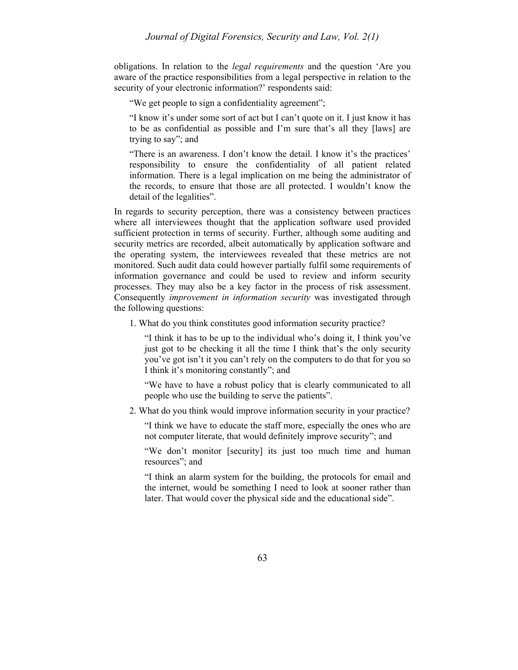obligations. In relation to the *legal requirements* and the question 'Are you aware of the practice responsibilities from a legal perspective in relation to the security of your electronic information?' respondents said:

"We get people to sign a confidentiality agreement";

"I know it's under some sort of act but I can't quote on it. I just know it has to be as confidential as possible and I'm sure that's all they [laws] are trying to say"; and

"There is an awareness. I don't know the detail. I know it's the practices' responsibility to ensure the confidentiality of all patient related information. There is a legal implication on me being the administrator of the records, to ensure that those are all protected. I wouldn't know the detail of the legalities".

In regards to security perception, there was a consistency between practices where all interviewees thought that the application software used provided sufficient protection in terms of security. Further, although some auditing and security metrics are recorded, albeit automatically by application software and the operating system, the interviewees revealed that these metrics are not monitored. Such audit data could however partially fulfil some requirements of information governance and could be used to review and inform security processes. They may also be a key factor in the process of risk assessment. Consequently *improvement in information security* was investigated through the following questions:

1. What do you think constitutes good information security practice?

"I think it has to be up to the individual who's doing it, I think you've just got to be checking it all the time I think that's the only security you've got isn't it you can't rely on the computers to do that for you so I think it's monitoring constantly"; and

"We have to have a robust policy that is clearly communicated to all people who use the building to serve the patients".

2. What do you think would improve information security in your practice?

"I think we have to educate the staff more, especially the ones who are not computer literate, that would definitely improve security"; and

"We don't monitor [security] its just too much time and human resources"; and

"I think an alarm system for the building, the protocols for email and the internet, would be something I need to look at sooner rather than later. That would cover the physical side and the educational side".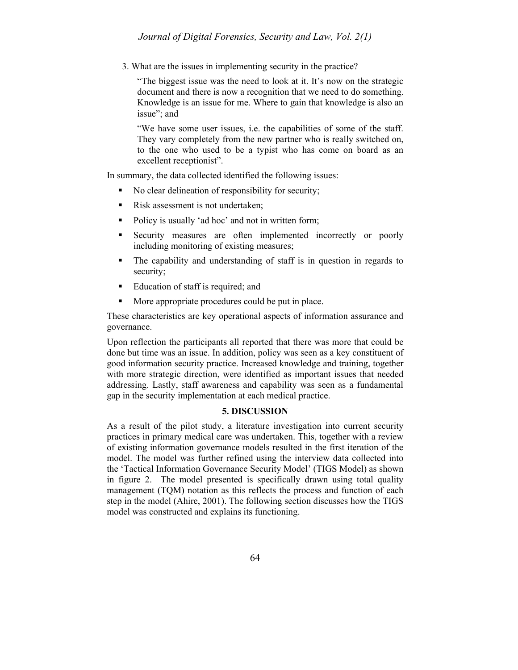3. What are the issues in implementing security in the practice?

"The biggest issue was the need to look at it. It's now on the strategic document and there is now a recognition that we need to do something. Knowledge is an issue for me. Where to gain that knowledge is also an issue"; and

"We have some user issues, i.e. the capabilities of some of the staff. They vary completely from the new partner who is really switched on, to the one who used to be a typist who has come on board as an excellent receptionist".

In summary, the data collected identified the following issues:

- No clear delineation of responsibility for security;
- Risk assessment is not undertaken;
- Policy is usually 'ad hoc' and not in written form;
- Security measures are often implemented incorrectly or poorly including monitoring of existing measures;
- The capability and understanding of staff is in question in regards to security;
- Education of staff is required; and
- More appropriate procedures could be put in place.

These characteristics are key operational aspects of information assurance and governance.

Upon reflection the participants all reported that there was more that could be done but time was an issue. In addition, policy was seen as a key constituent of good information security practice. Increased knowledge and training, together with more strategic direction, were identified as important issues that needed addressing. Lastly, staff awareness and capability was seen as a fundamental gap in the security implementation at each medical practice.

## **5. DISCUSSION**

As a result of the pilot study, a literature investigation into current security practices in primary medical care was undertaken. This, together with a review of existing information governance models resulted in the first iteration of the model. The model was further refined using the interview data collected into the 'Tactical Information Governance Security Model' (TIGS Model) as shown in figure 2. The model presented is specifically drawn using total quality management (TQM) notation as this reflects the process and function of each step in the model (Ahire, 2001). The following section discusses how the TIGS model was constructed and explains its functioning.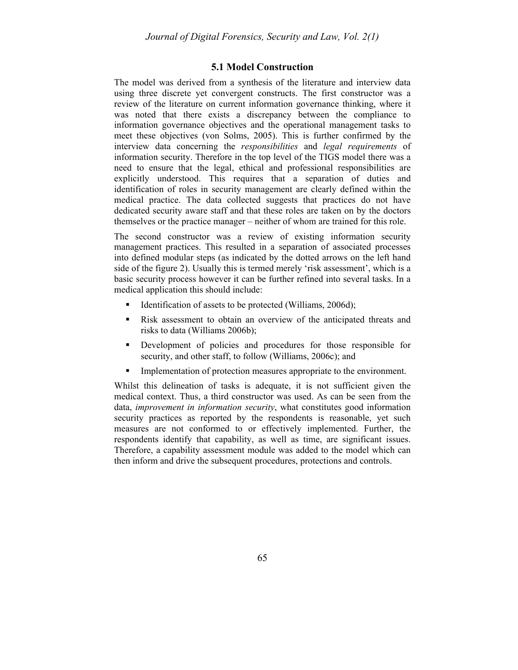## **5.1 Model Construction**

The model was derived from a synthesis of the literature and interview data using three discrete yet convergent constructs. The first constructor was a review of the literature on current information governance thinking, where it was noted that there exists a discrepancy between the compliance to information governance objectives and the operational management tasks to meet these objectives (von Solms, 2005). This is further confirmed by the interview data concerning the *responsibilities* and *legal requirements* of information security. Therefore in the top level of the TIGS model there was a need to ensure that the legal, ethical and professional responsibilities are explicitly understood. This requires that a separation of duties and identification of roles in security management are clearly defined within the medical practice. The data collected suggests that practices do not have dedicated security aware staff and that these roles are taken on by the doctors themselves or the practice manager – neither of whom are trained for this role.

The second constructor was a review of existing information security management practices. This resulted in a separation of associated processes into defined modular steps (as indicated by the dotted arrows on the left hand side of the figure 2). Usually this is termed merely 'risk assessment', which is a basic security process however it can be further refined into several tasks. In a medical application this should include:

- Identification of assets to be protected (Williams, 2006d);
- Risk assessment to obtain an overview of the anticipated threats and risks to data (Williams 2006b);
- Development of policies and procedures for those responsible for security, and other staff, to follow (Williams, 2006c); and
- **Implementation of protection measures appropriate to the environment.**

Whilst this delineation of tasks is adequate, it is not sufficient given the medical context. Thus, a third constructor was used. As can be seen from the data, *improvement in information security*, what constitutes good information security practices as reported by the respondents is reasonable, yet such measures are not conformed to or effectively implemented. Further, the respondents identify that capability, as well as time, are significant issues. Therefore, a capability assessment module was added to the model which can then inform and drive the subsequent procedures, protections and controls.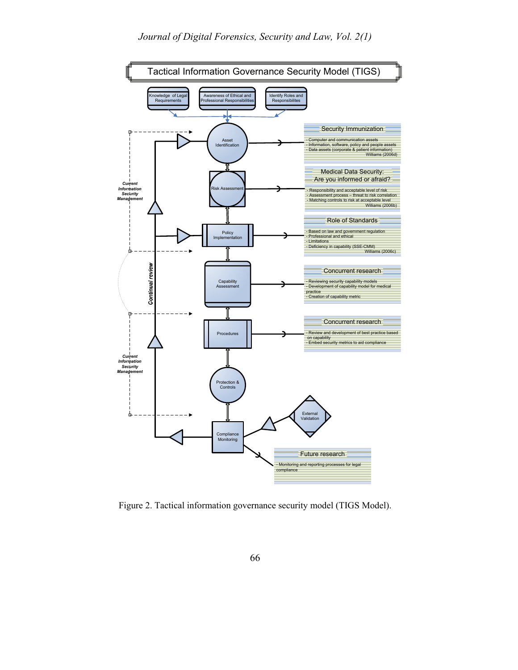

Figure 2. Tactical information governance security model (TIGS Model).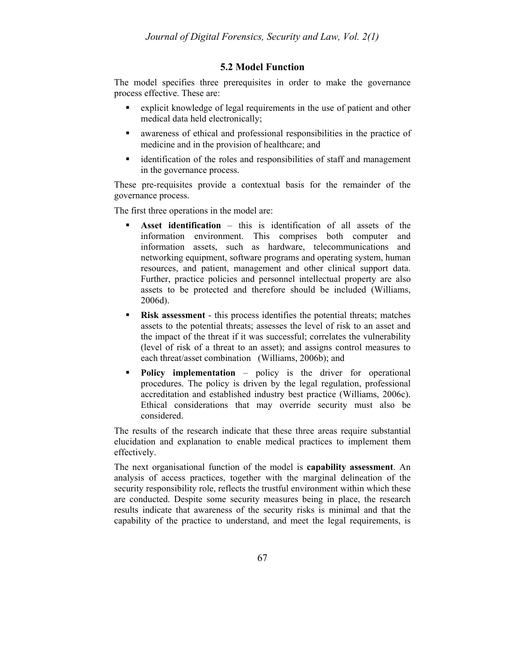## **5.2 Model Function**

The model specifies three prerequisites in order to make the governance process effective. These are:

- explicit knowledge of legal requirements in the use of patient and other medical data held electronically;
- awareness of ethical and professional responsibilities in the practice of medicine and in the provision of healthcare; and
- identification of the roles and responsibilities of staff and management in the governance process.

These pre-requisites provide a contextual basis for the remainder of the governance process.

The first three operations in the model are:

- **Asset identification** this is identification of all assets of the information environment. This comprises both computer and information assets, such as hardware, telecommunications and networking equipment, software programs and operating system, human resources, and patient, management and other clinical support data. Further, practice policies and personnel intellectual property are also assets to be protected and therefore should be included (Williams, 2006d).
- **Risk assessment** this process identifies the potential threats; matches assets to the potential threats; assesses the level of risk to an asset and the impact of the threat if it was successful; correlates the vulnerability (level of risk of a threat to an asset); and assigns control measures to each threat/asset combination (Williams, 2006b); and
- **Policy implementation** policy is the driver for operational procedures. The policy is driven by the legal regulation, professional accreditation and established industry best practice (Williams, 2006c). Ethical considerations that may override security must also be considered.

The results of the research indicate that these three areas require substantial elucidation and explanation to enable medical practices to implement them effectively.

The next organisational function of the model is **capability assessment**. An analysis of access practices, together with the marginal delineation of the security responsibility role, reflects the trustful environment within which these are conducted. Despite some security measures being in place, the research results indicate that awareness of the security risks is minimal and that the capability of the practice to understand, and meet the legal requirements, is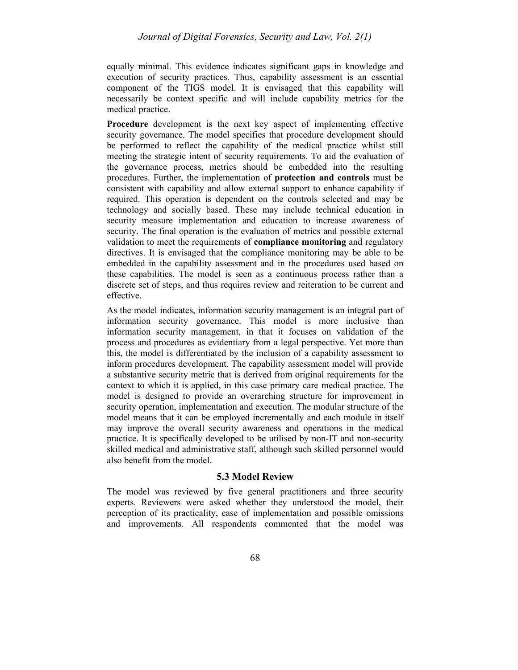equally minimal. This evidence indicates significant gaps in knowledge and execution of security practices. Thus, capability assessment is an essential component of the TIGS model. It is envisaged that this capability will necessarily be context specific and will include capability metrics for the medical practice.

**Procedure** development is the next key aspect of implementing effective security governance. The model specifies that procedure development should be performed to reflect the capability of the medical practice whilst still meeting the strategic intent of security requirements. To aid the evaluation of the governance process, metrics should be embedded into the resulting procedures. Further, the implementation of **protection and controls** must be consistent with capability and allow external support to enhance capability if required. This operation is dependent on the controls selected and may be technology and socially based. These may include technical education in security measure implementation and education to increase awareness of security. The final operation is the evaluation of metrics and possible external validation to meet the requirements of **compliance monitoring** and regulatory directives. It is envisaged that the compliance monitoring may be able to be embedded in the capability assessment and in the procedures used based on these capabilities. The model is seen as a continuous process rather than a discrete set of steps, and thus requires review and reiteration to be current and effective.

As the model indicates, information security management is an integral part of information security governance. This model is more inclusive than information security management, in that it focuses on validation of the process and procedures as evidentiary from a legal perspective. Yet more than this, the model is differentiated by the inclusion of a capability assessment to inform procedures development. The capability assessment model will provide a substantive security metric that is derived from original requirements for the context to which it is applied, in this case primary care medical practice. The model is designed to provide an overarching structure for improvement in security operation, implementation and execution. The modular structure of the model means that it can be employed incrementally and each module in itself may improve the overall security awareness and operations in the medical practice. It is specifically developed to be utilised by non-IT and non-security skilled medical and administrative staff, although such skilled personnel would also benefit from the model.

## **5.3 Model Review**

The model was reviewed by five general practitioners and three security experts. Reviewers were asked whether they understood the model, their perception of its practicality, ease of implementation and possible omissions and improvements. All respondents commented that the model was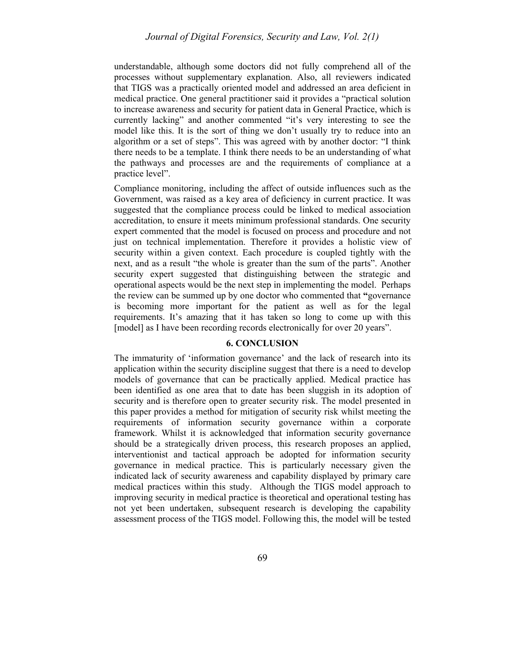understandable, although some doctors did not fully comprehend all of the processes without supplementary explanation. Also, all reviewers indicated that TIGS was a practically oriented model and addressed an area deficient in medical practice. One general practitioner said it provides a "practical solution to increase awareness and security for patient data in General Practice, which is currently lacking" and another commented "it's very interesting to see the model like this. It is the sort of thing we don't usually try to reduce into an algorithm or a set of steps". This was agreed with by another doctor: "I think there needs to be a template. I think there needs to be an understanding of what the pathways and processes are and the requirements of compliance at a practice level".

Compliance monitoring, including the affect of outside influences such as the Government, was raised as a key area of deficiency in current practice. It was suggested that the compliance process could be linked to medical association accreditation, to ensure it meets minimum professional standards. One security expert commented that the model is focused on process and procedure and not just on technical implementation. Therefore it provides a holistic view of security within a given context. Each procedure is coupled tightly with the next, and as a result "the whole is greater than the sum of the parts". Another security expert suggested that distinguishing between the strategic and operational aspects would be the next step in implementing the model. Perhaps the review can be summed up by one doctor who commented that **"**governance is becoming more important for the patient as well as for the legal requirements. It's amazing that it has taken so long to come up with this [model] as I have been recording records electronically for over 20 years".

#### **6. CONCLUSION**

The immaturity of 'information governance' and the lack of research into its application within the security discipline suggest that there is a need to develop models of governance that can be practically applied. Medical practice has been identified as one area that to date has been sluggish in its adoption of security and is therefore open to greater security risk. The model presented in this paper provides a method for mitigation of security risk whilst meeting the requirements of information security governance within a corporate framework. Whilst it is acknowledged that information security governance should be a strategically driven process, this research proposes an applied, interventionist and tactical approach be adopted for information security governance in medical practice. This is particularly necessary given the indicated lack of security awareness and capability displayed by primary care medical practices within this study. Although the TIGS model approach to improving security in medical practice is theoretical and operational testing has not yet been undertaken, subsequent research is developing the capability assessment process of the TIGS model. Following this, the model will be tested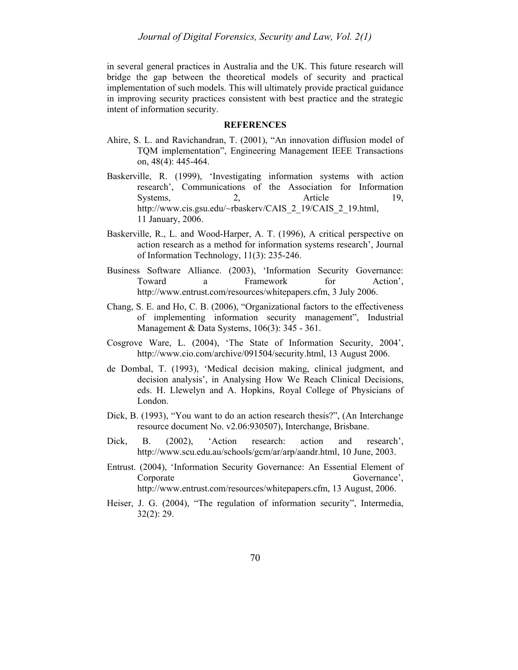in several general practices in Australia and the UK. This future research will bridge the gap between the theoretical models of security and practical implementation of such models. This will ultimately provide practical guidance in improving security practices consistent with best practice and the strategic intent of information security.

#### **REFERENCES**

- Ahire, S. L. and Ravichandran, T. (2001), "An innovation diffusion model of TQM implementation", Engineering Management IEEE Transactions on, 48(4): 445-464.
- Baskerville, R. (1999), 'Investigating information systems with action research', Communications of the Association for Information Systems, 2, Article 19, http://www.cis.gsu.edu/~rbaskerv/CAIS\_2\_19/CAIS\_2\_19.html, 11 January, 2006.
- Baskerville, R., L. and Wood-Harper, A. T. (1996), A critical perspective on action research as a method for information systems research', Journal of Information Technology, 11(3): 235-246.
- Business Software Alliance. (2003), 'Information Security Governance: Toward a Framework for Action', http://www.entrust.com/resources/whitepapers.cfm, 3 July 2006.
- Chang, S. E. and Ho, C. B. (2006), "Organizational factors to the effectiveness of implementing information security management", Industrial Management & Data Systems, 106(3): 345 - 361.
- Cosgrove Ware, L. (2004), 'The State of Information Security, 2004', http://www.cio.com/archive/091504/security.html, 13 August 2006.
- de Dombal, T. (1993), 'Medical decision making, clinical judgment, and decision analysis', in Analysing How We Reach Clinical Decisions, eds. H. Llewelyn and A. Hopkins, Royal College of Physicians of London.
- Dick, B. (1993), "You want to do an action research thesis?", (An Interchange resource document No. v2.06:930507), Interchange, Brisbane.
- Dick, B. (2002), 'Action research: action and research', http://www.scu.edu.au/schools/gcm/ar/arp/aandr.html, 10 June, 2003.
- Entrust. (2004), 'Information Security Governance: An Essential Element of Corporate Governance', Governance', http://www.entrust.com/resources/whitepapers.cfm, 13 August, 2006.
- Heiser, J. G. (2004), "The regulation of information security", Intermedia, 32(2): 29.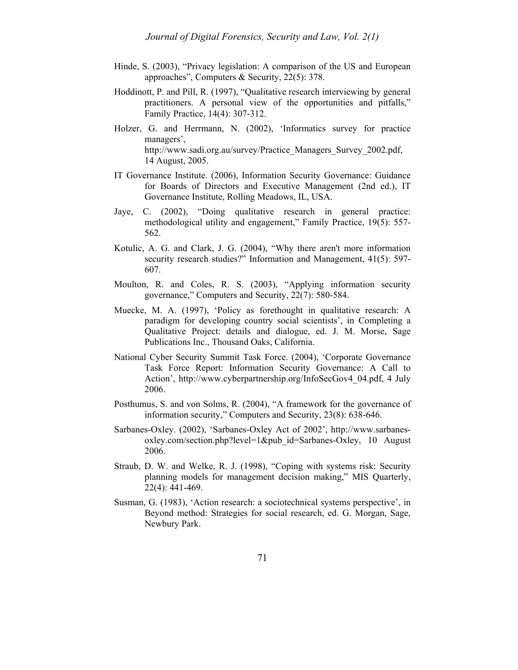- Hinde, S. (2003), "Privacy legislation: A comparison of the US and European approaches", Computers & Security, 22(5): 378.
- Hoddinott, P. and Pill, R. (1997), "Qualitative research interviewing by general practitioners. A personal view of the opportunities and pitfalls," Family Practice, 14(4): 307-312.
- Holzer, G. and Herrmann, N. (2002), 'Informatics survey for practice managers', http://www.sadi.org.au/survey/Practice\_Managers\_Survey\_2002.pdf, 14 August, 2005.
- IT Governance Institute. (2006), Information Security Governance: Guidance for Boards of Directors and Executive Management (2nd ed.), IT Governance Institute, Rolling Meadows, IL, USA.
- Jaye, C. (2002), "Doing qualitative research in general practice: methodological utility and engagement," Family Practice, 19(5): 557- 562.
- Kotulic, A. G. and Clark, J. G. (2004), "Why there aren't more information security research studies?" Information and Management, 41(5): 597-607.
- Moulton, R. and Coles, R. S. (2003), "Applying information security governance," Computers and Security, 22(7): 580-584.
- Muecke, M. A. (1997), 'Policy as forethought in qualitative research: A paradigm for developing country social scientists', in Completing a Qualitative Project: details and dialogue, ed. J. M. Morse, Sage Publications Inc., Thousand Oaks, California.
- National Cyber Security Summit Task Force. (2004), 'Corporate Governance Task Force Report: Information Security Governance: A Call to Action', http://www.cyberpartnership.org/InfoSecGov4\_04.pdf, 4 July 2006.
- Posthumus, S. and von Solms, R. (2004), "A framework for the governance of information security," Computers and Security, 23(8): 638-646.
- Sarbanes-Oxley. (2002), 'Sarbanes-Oxley Act of 2002', http://www.sarbanesoxley.com/section.php?level=1&pub\_id=Sarbanes-Oxley, 10 August 2006.
- Straub, D. W. and Welke, R. J. (1998), "Coping with systems risk: Security planning models for management decision making," MIS Quarterly, 22(4): 441-469.
- Susman, G. (1983), 'Action research: a sociotechnical systems perspective', in Beyond method: Strategies for social research, ed. G. Morgan, Sage, Newbury Park.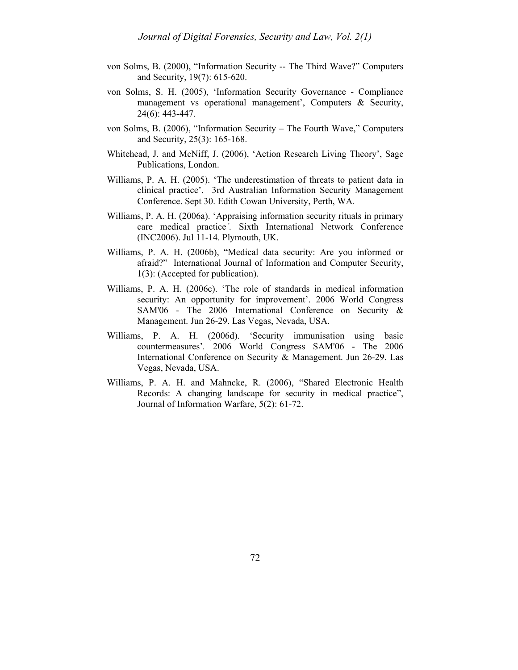- von Solms, B. (2000), "Information Security -- The Third Wave?" Computers and Security, 19(7): 615-620.
- von Solms, S. H. (2005), 'Information Security Governance Compliance management vs operational management', Computers & Security, 24(6): 443-447.
- von Solms, B. (2006), "Information Security The Fourth Wave," Computers and Security, 25(3): 165-168.
- Whitehead, J. and McNiff, J. (2006), 'Action Research Living Theory', Sage Publications, London.
- Williams, P. A. H. (2005). 'The underestimation of threats to patient data in clinical practice'. 3rd Australian Information Security Management Conference. Sept 30. Edith Cowan University, Perth, WA.
- Williams, P. A. H. (2006a). 'Appraising information security rituals in primary care medical practice*'.* Sixth International Network Conference (INC2006). Jul 11-14. Plymouth, UK.
- Williams, P. A. H. (2006b), "Medical data security: Are you informed or afraid?" International Journal of Information and Computer Security, 1(3): (Accepted for publication).
- Williams, P. A. H. (2006c). 'The role of standards in medical information security: An opportunity for improvement'. 2006 World Congress SAM'06 - The 2006 International Conference on Security & Management. Jun 26-29. Las Vegas, Nevada, USA.
- Williams, P. A. H. (2006d). 'Security immunisation using basic countermeasures'*.* 2006 World Congress SAM'06 - The 2006 International Conference on Security & Management. Jun 26-29. Las Vegas, Nevada, USA.
- Williams, P. A. H. and Mahncke, R. (2006), "Shared Electronic Health Records: A changing landscape for security in medical practice", Journal of Information Warfare, 5(2): 61-72.